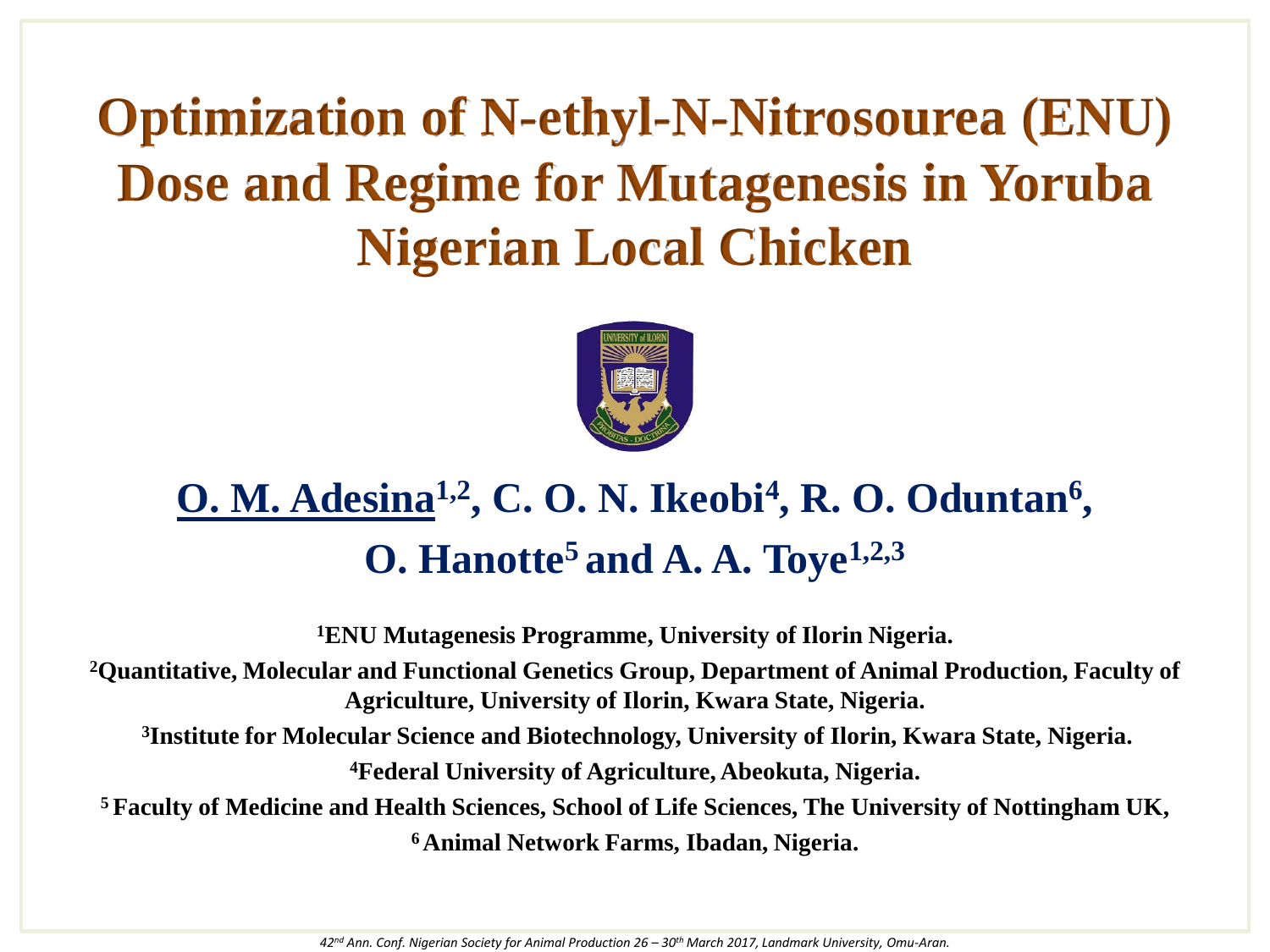## **Optimization of N-ethyl-N-Nitrosourea (ENU) Dose and Regime for Mutagenesis in Yoruba Nigerian Local Chicken**



#### **O. M. Adesina<sup>1,2</sup>, C. O. N. Ikeobi<sup>4</sup>, R. O. Oduntan<sup>6</sup>, O. Hanotte<sup>5</sup>and A. A. Toye1,2,3**

**<sup>1</sup>ENU Mutagenesis Programme, University of Ilorin Nigeria.**

**<sup>2</sup>Quantitative, Molecular and Functional Genetics Group, Department of Animal Production, Faculty of Agriculture, University of Ilorin, Kwara State, Nigeria.**

**3 Institute for Molecular Science and Biotechnology, University of Ilorin, Kwara State, Nigeria.**

**<sup>4</sup>Federal University of Agriculture, Abeokuta, Nigeria.**

**<sup>5</sup>Faculty of Medicine and Health Sciences, School of Life Sciences, The University of Nottingham UK, <sup>6</sup>Animal Network Farms, Ibadan, Nigeria.**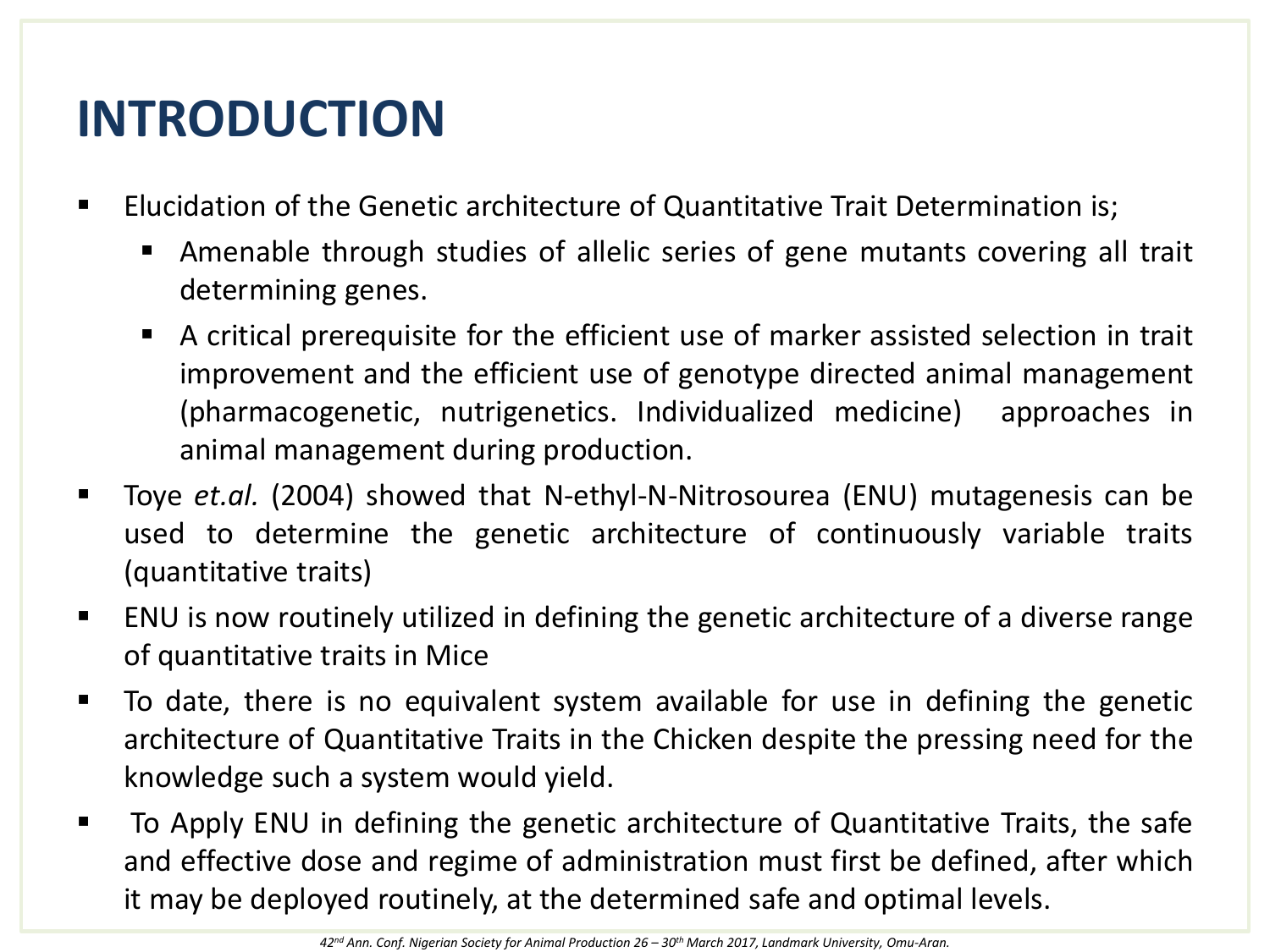### **INTRODUCTION**

- **Elucidation of the Genetic architecture of Quantitative Trait Determination is;** 
	- Amenable through studies of allelic series of gene mutants covering all trait determining genes.
	- A critical prerequisite for the efficient use of marker assisted selection in trait improvement and the efficient use of genotype directed animal management (pharmacogenetic, nutrigenetics. Individualized medicine) approaches in animal management during production.
- Toye *et.al.* (2004) showed that N-ethyl-N-Nitrosourea (ENU) mutagenesis can be used to determine the genetic architecture of continuously variable traits (quantitative traits)
- ENU is now routinely utilized in defining the genetic architecture of a diverse range of quantitative traits in Mice
- To date, there is no equivalent system available for use in defining the genetic architecture of Quantitative Traits in the Chicken despite the pressing need for the knowledge such a system would yield.
- To Apply ENU in defining the genetic architecture of Quantitative Traits, the safe and effective dose and regime of administration must first be defined, after which it may be deployed routinely, at the determined safe and optimal levels.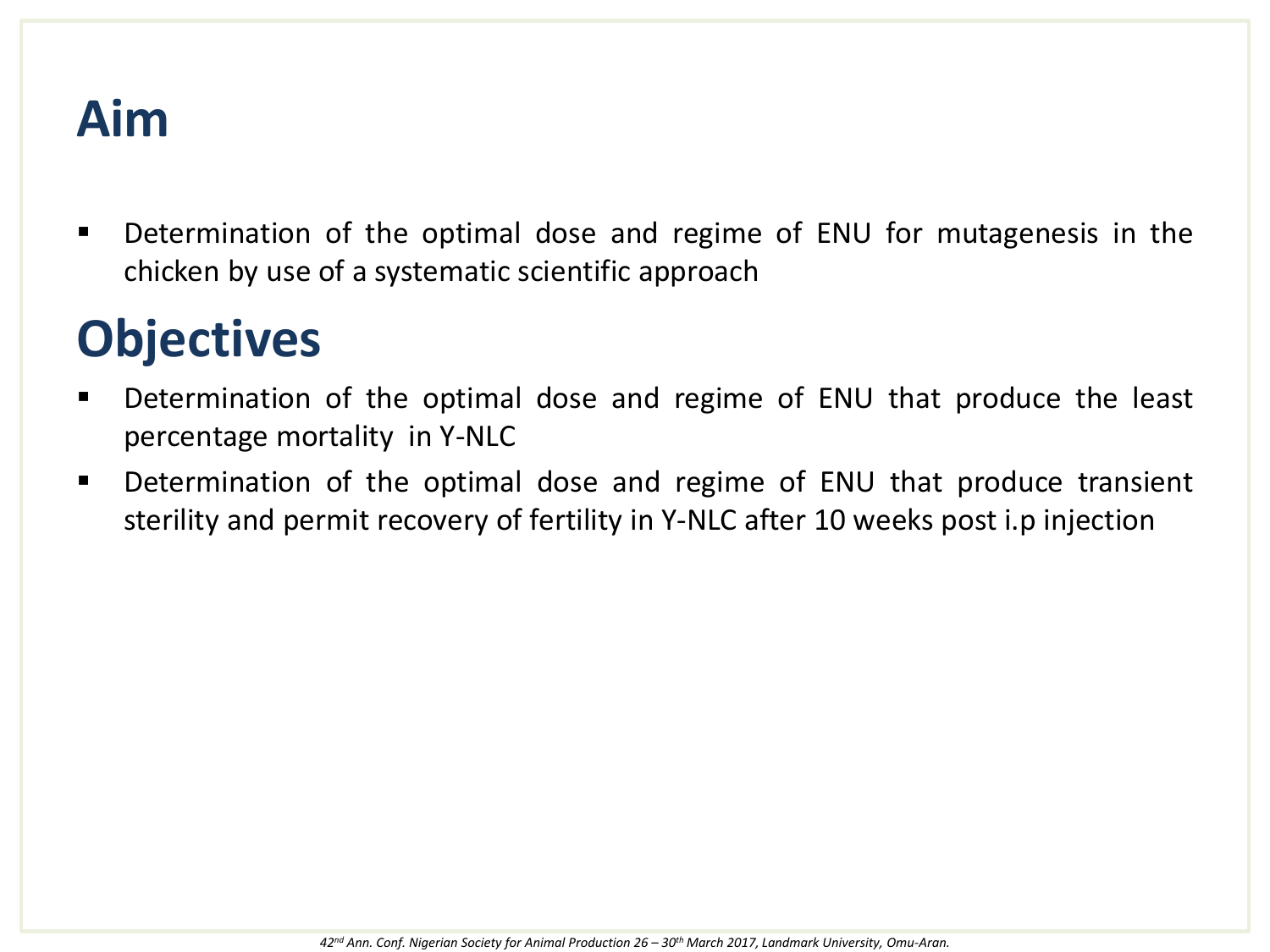#### **Aim**

 Determination of the optimal dose and regime of ENU for mutagenesis in the chicken by use of a systematic scientific approach

### **Objectives**

- Determination of the optimal dose and regime of ENU that produce the least percentage mortality in Y-NLC
- Determination of the optimal dose and regime of ENU that produce transient sterility and permit recovery of fertility in Y-NLC after 10 weeks post i.p injection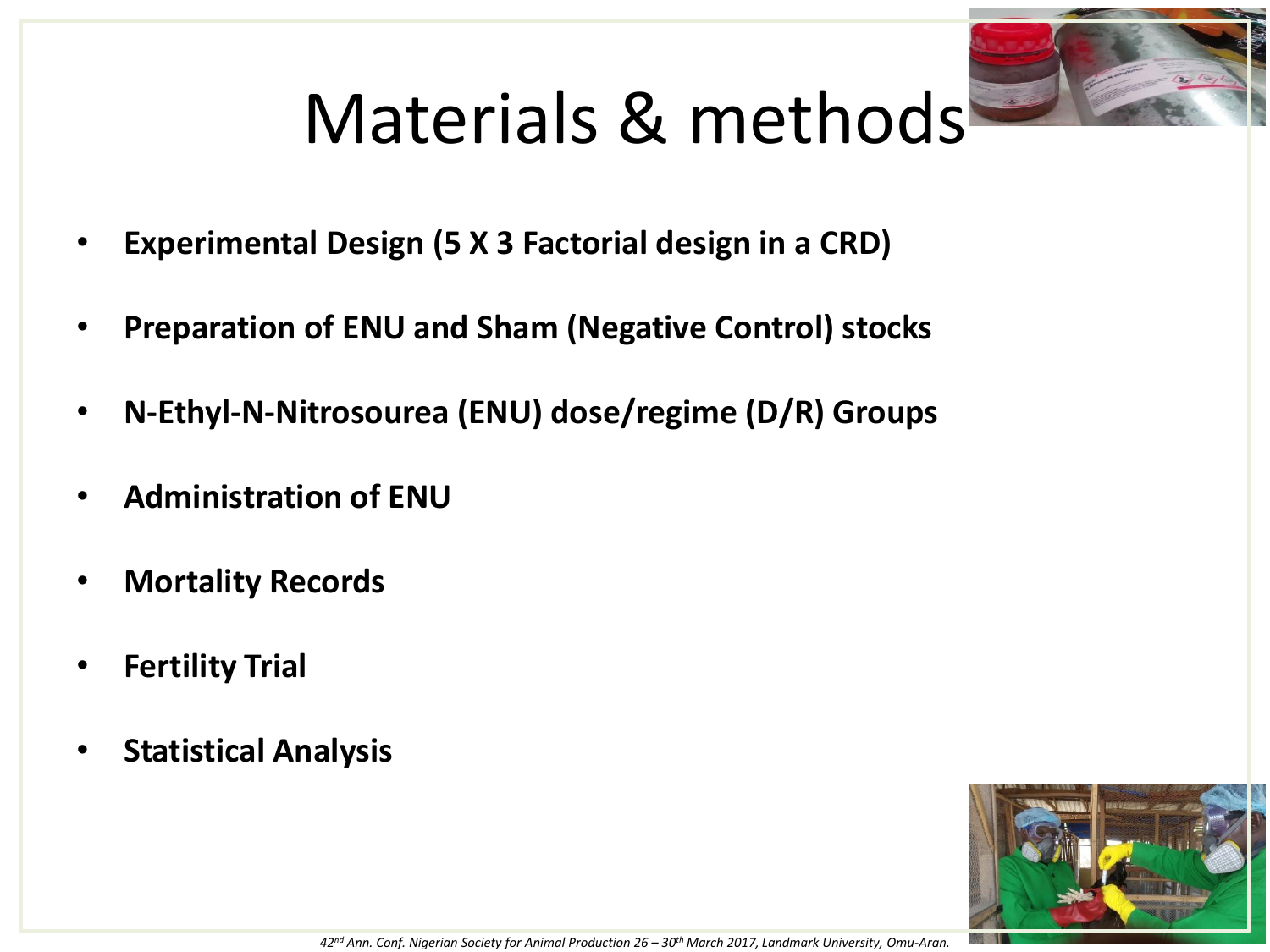

# Materials & methods

- **Experimental Design (5 X 3 Factorial design in a CRD)**
- **Preparation of ENU and Sham (Negative Control) stocks**
- **N-Ethyl-N-Nitrosourea (ENU) dose/regime (D/R) Groups**
- **Administration of ENU**
- **Mortality Records**
- **Fertility Trial**
- **Statistical Analysis**

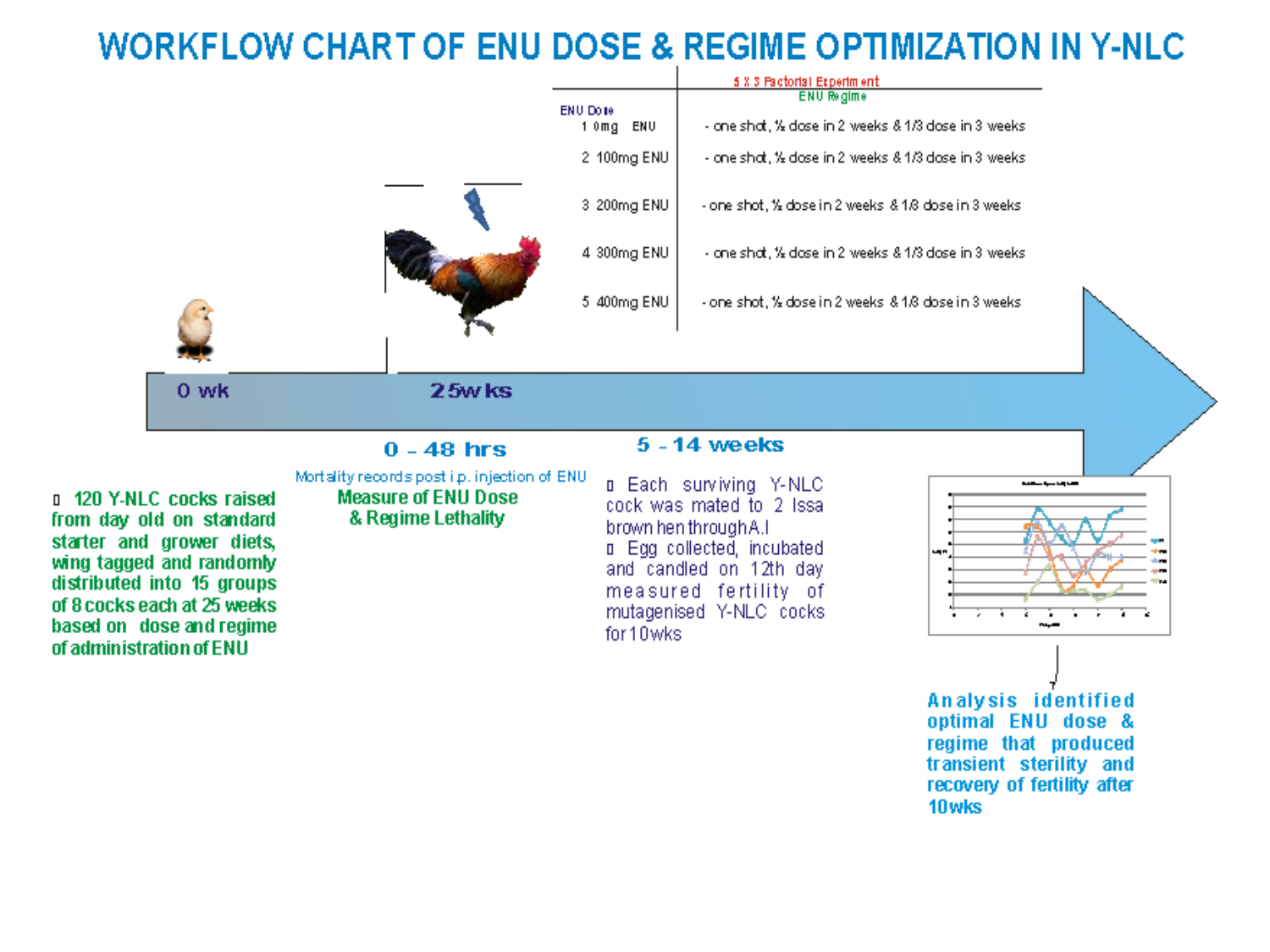#### **WORKFLOW CHART OF ENU DOSE & REGIME OPTIMIZATION IN Y-NLC**



of 8 cocks each at 25 weeks based on dose and regime of administration of ENU

mutagenised Y-NLC cocks for 10wks



**Analysis identified** optimal ENU dose & regime that produced transient sterility and recovery of fertility after 10 wks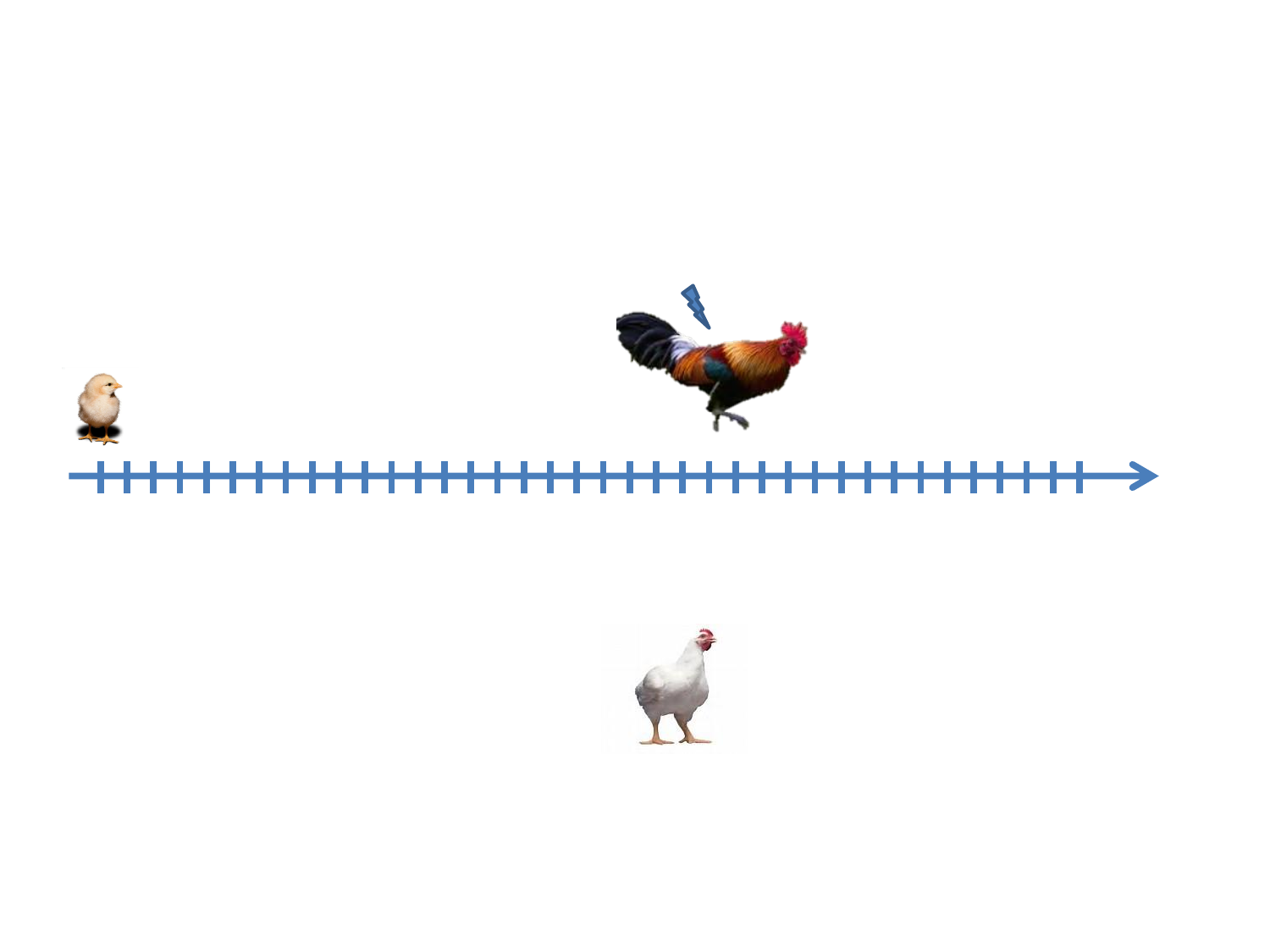

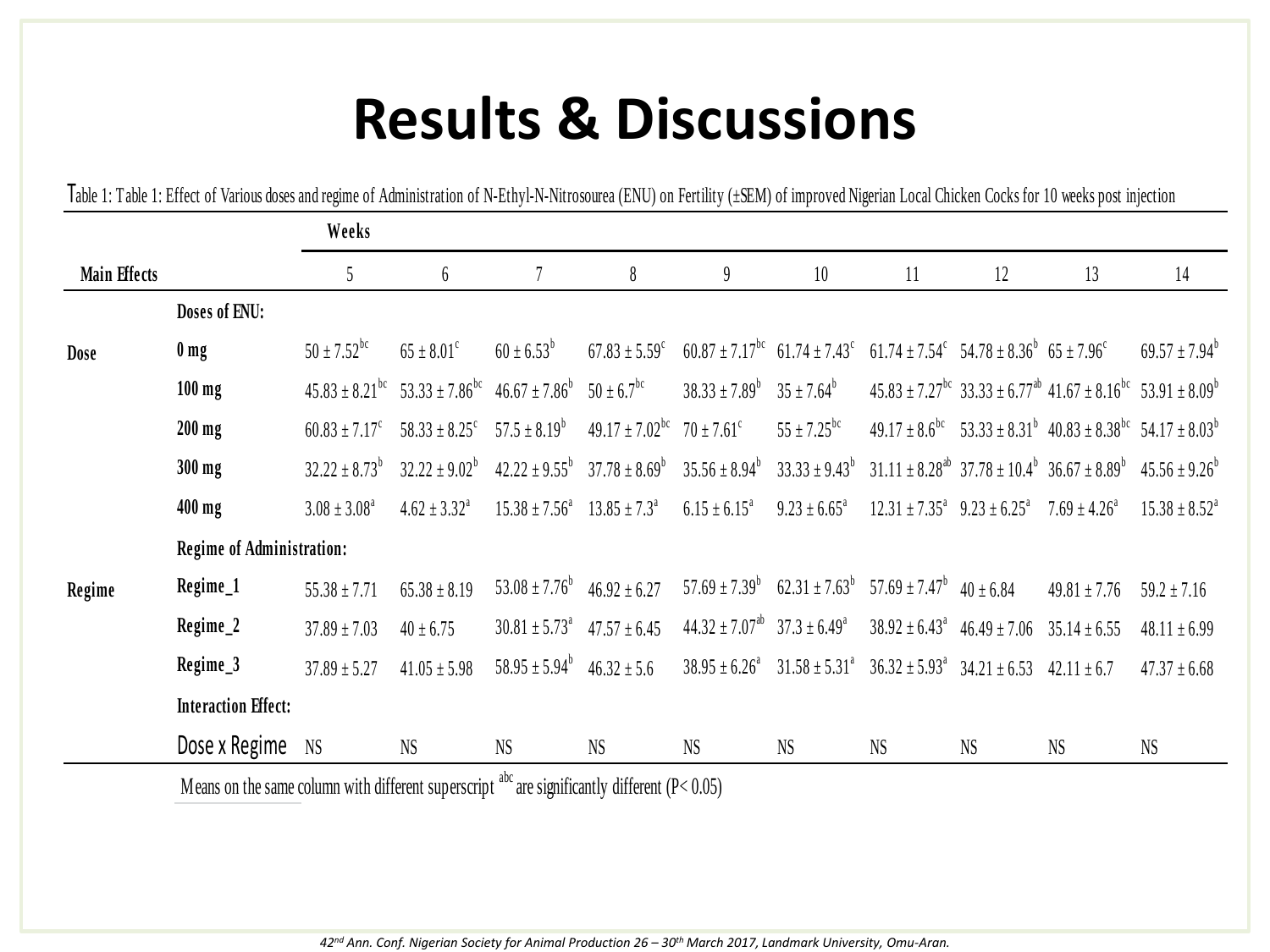## **Results & Discussions**

**Weeks Main Effects** 5 6 7 8 9 10 11 12 13 14 **Doses of ENU:**<br> **Dose 0 mg** 50 ± 7.52<sup>bc</sup> 65 ± 8.01<sup>c</sup>  $60 + 6.53^b$ 67.83 ± 5.59<sup>c</sup> 60.87 ± 7.17<sup>bc</sup> 61.74 ± 7.43<sup>c</sup> 61.74 ± 7.54<sup>c</sup> 54.78 ± 8.36<sup>b</sup> 65 ± 7.96<sup>c</sup>  $69.57 + 7.94^b$ **0 mg**  $50 \pm 7.52^{bc}$   $65 \pm 8.01^{c}$   $60 \pm 6.53^{b}$   $67.83 \pm 5.59^{c}$ <br> **100 mg**  $45.83 \pm 8.21^{bc}$   $53.33 \pm 7.86^{bc}$   $46.67 \pm 7.86^{b}$   $50 \pm 6.7^{bc}$  $67.83 \pm 5.59^{\circ}$   $60.87 \pm 7.17^{\circ}$ <br> $50 \pm 6.7^{\circ}$   $38.33 \pm 7.89^{\circ}$  $38.33 \pm 7.89^b$   $35 \pm 7.64^b$  $45.83 \pm 7.27^{bc}$  33.33  $\pm 6.77^{ab}$  41.67  $\pm 8.16^{bc}$  53.91  $\pm 8.09^{b}$ **200 mg**  $45.83 \pm 8.21^{bc}$   $53.33 \pm 7.86^{bc}$   $46.67 \pm 7.86^{b}$   $50 \pm 6.7^{bc}$   $38.33 \pm 7.$ <br> **200 mg**  $60.83 \pm 7.17^{c}$   $58.33 \pm 8.25^{c}$   $57.5 \pm 8.19^{b}$   $49.17 \pm 7.02^{bc}$   $70 \pm 7.61^{c}$  $35 \pm 7.64^b$  45.83  $\pm 7.27^{bc}$  33.33  $\pm 6.77^{ab}$  41.67  $\pm 8.16^{bc}$  53.91  $\pm 8.09^{b}$ <br>55  $\pm 7.25^{bc}$  49.17  $\pm 8.6^{bc}$  53.33  $\pm 8.31^{b}$  40.83  $\pm 8.38^{bc}$  54.17  $\pm 8.03^{b}$  $300 \text{ mg}$   $32.22 \pm 8.73^{\circ}$   $32.22 \pm 9.02^{\circ}$   $42.22 \pm 9.55^{\circ}$   $37.78 \pm 8.69^{\circ}$   $35.56 \pm 8.94^{\circ}$   $33.33 \pm 9.43^{\circ}$   $31.11 \pm 8.28^{\circ}$   $37.78 \pm 10.4^{\circ}$   $36.67 \pm 8.89^{\circ}$   $45.56 \pm 9.26^{\circ}$ **400 mg**  $3.08 \pm 3.08^{\circ}$  $4.62 \pm 3.32^a$  $15.38 \pm 7.56^{\circ}$   $13.85 \pm 7.3^{\circ}$  $6.15 \pm 6.15^a$   $9.23 \pm 6.65^a$   $12.31 \pm 7.35^a$   $9.23 \pm 6.25^a$   $7.69 \pm 4.26^a$  $15.38 \pm 8.52^{\circ}$ **Regime**  $\text{Regime}_1$   $55.38 \pm 7.71$   $65.38 \pm 8.19$   $53.08 \pm 7.76^b$   $46.92 \pm 6.27$  $46.92 \pm 6.27$   $57.69 \pm 7.39^{\circ}$   $62.31 \pm 7.63^{\circ}$   $57.69 \pm 7.47^{\circ}$  $49.81 + 7.76$   $59.2 + 7.16$ **Regime\_2**  $37.89 + 7.03$   $40 + 6.75$   $30.81 \pm 5.73$ <sup>a</sup>  $47.57 + 6.45$  $47.57 \pm 6.45$   $44.32 \pm 7.07^{ab}$   $37.3 \pm 6.49^{a}$   $38.92 \pm 6.43^{a}$   $46.49 \pm 7.06$   $35.14 \pm 6.55$   $48.11 \pm 6.99$ **Regime\_3** 37.89  $\pm$  5.27 41.05  $\pm$  5.98 58.95  $\pm$  5.94<sup>b</sup> 46.32  $\pm$  5.6 38.95  $\pm$  6.26<sup>a</sup> 31.58  $\pm$  5.31<sup>a</sup> 36.32  $\pm$  5.93<sup>a</sup> 34.21  $\pm$  6.53 42.11  $\pm$  6.7 47.37  $\pm$  6.68 Dose x Regime NS NS NS NS NS NS NS NS NS NS **Regime of Administration: Interaction Effect: Doses of ENU:**

Table 1: Table 1: Effect of Various doses and regime of Administration of N-Ethyl-N-Nitrosourea (ENU) on Fertility (±SEM) of improved Nigerian Local Chicken Cocks for 10 weeks post injection

Means on the same column with different superscript <sup>abc</sup> are significantly different (P<  $0.05$ )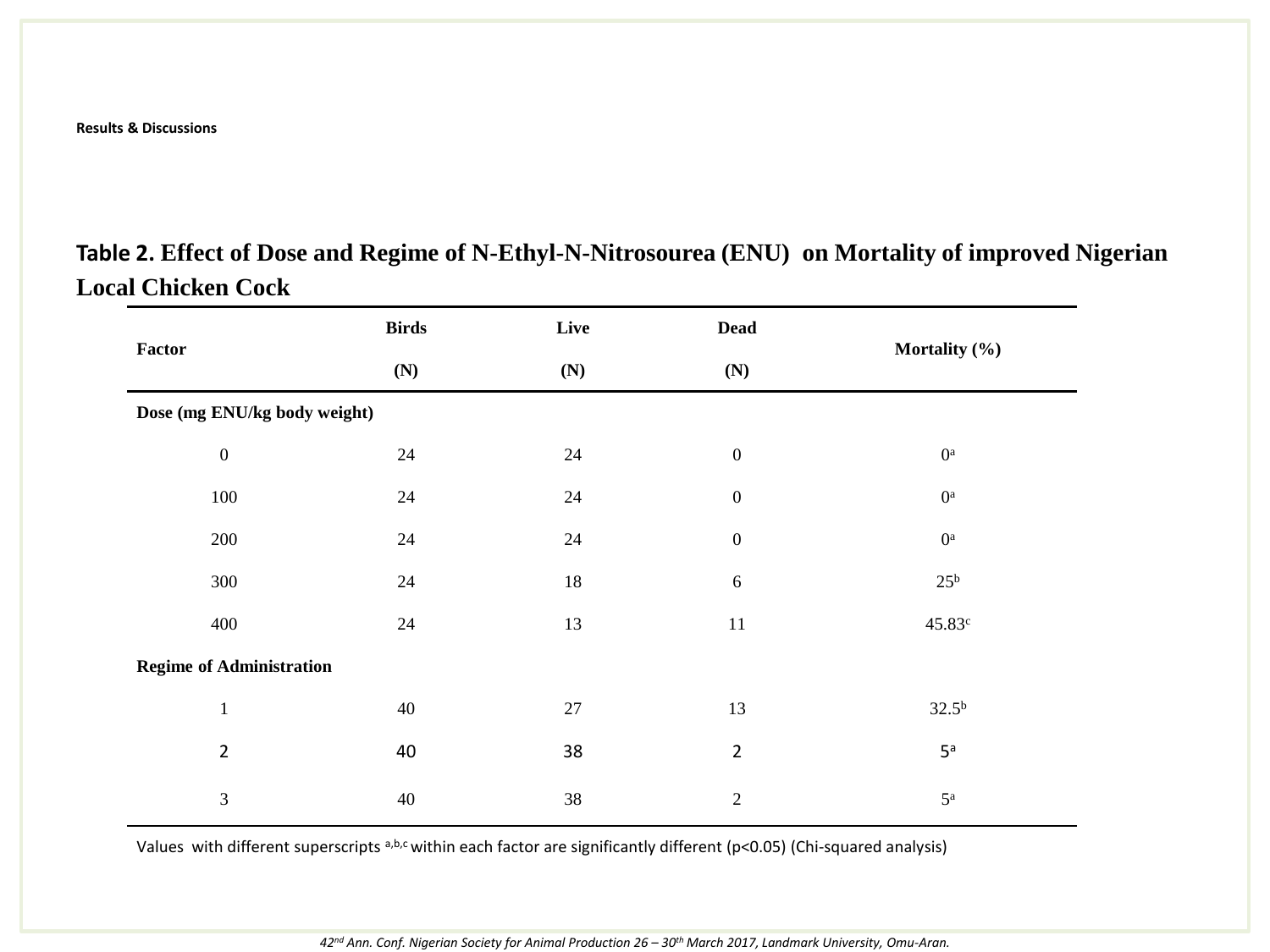#### **Table 2. Effect of Dose and Regime of N-Ethyl-N-Nitrosourea (ENU) on Mortality of improved Nigerian Local Chicken Cock**

| Factor                          | <b>Birds</b> | Live   | <b>Dead</b>      | Mortality $(\% )$ |
|---------------------------------|--------------|--------|------------------|-------------------|
|                                 | (N)          | (N)    | (N)              |                   |
| Dose (mg ENU/kg body weight)    |              |        |                  |                   |
| $\boldsymbol{0}$                | 24           | 24     | $\boldsymbol{0}$ | $0^a$             |
| 100                             | $24\,$       | 24     | $\boldsymbol{0}$ | $0^a$             |
| 200                             | $24\,$       | $24\,$ | $\boldsymbol{0}$ | $0^a$             |
| 300                             | $24\,$       | $18\,$ | $\sqrt{6}$       | $25^{\rm b}$      |
| 400                             | $24\,$       | 13     | 11               | 45.83c            |
| <b>Regime of Administration</b> |              |        |                  |                   |
| $\,1\,$                         | $40\,$       | $27\,$ | 13               | $32.5^{b}$        |
| $\overline{2}$                  | 40           | 38     | $\overline{2}$   | 5 <sup>a</sup>    |
| $\mathfrak{Z}$                  | $40\,$       | $38\,$ | $\sqrt{2}$       | $5^{\rm a}$       |

Values with different superscripts a,b,c within each factor are significantly different (p<0.05) (Chi-squared analysis)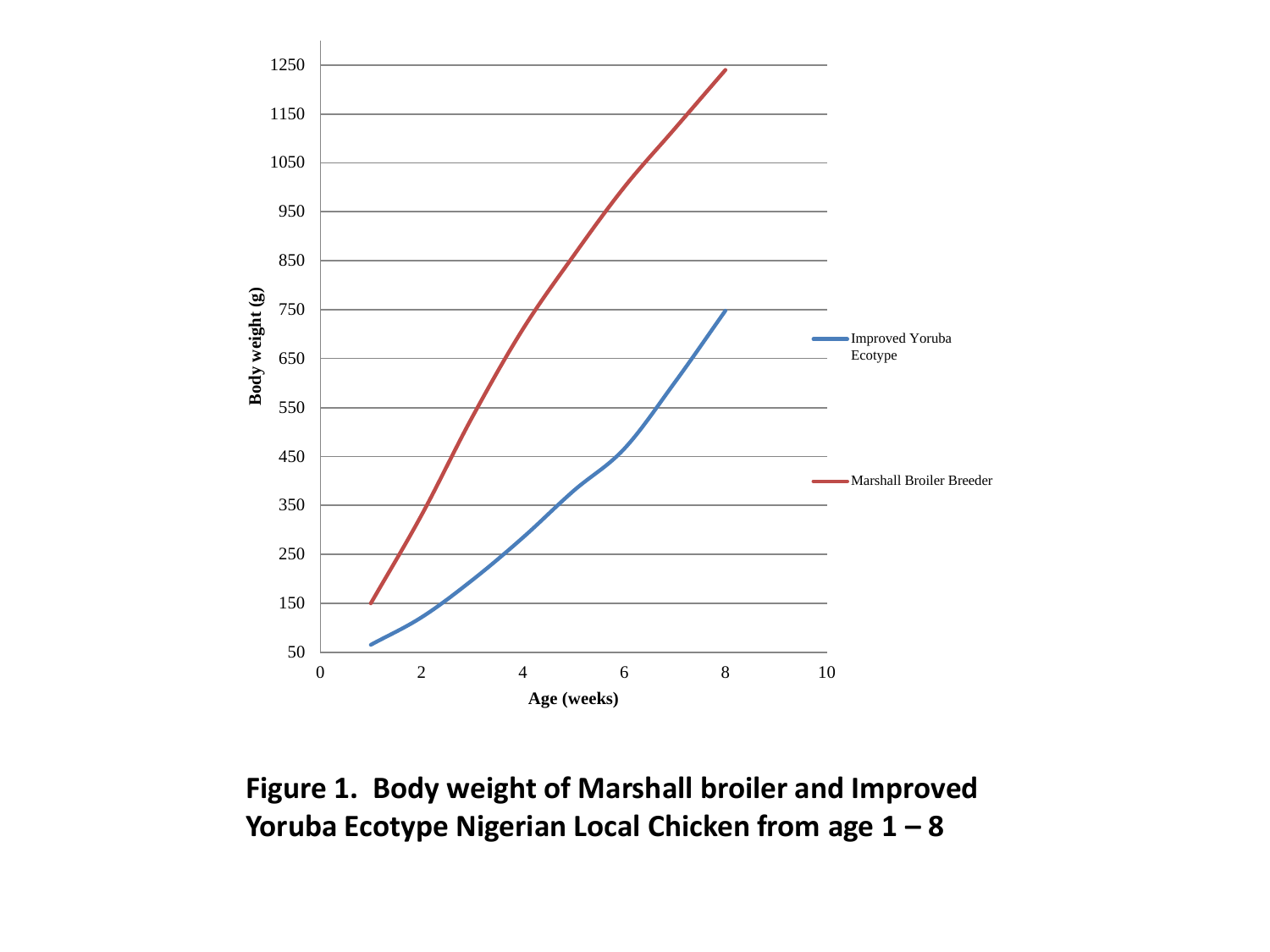

**Figure 1. Body weight of Marshall broiler and Improved Yoruba Ecotype Nigerian Local Chicken from age 1 – 8**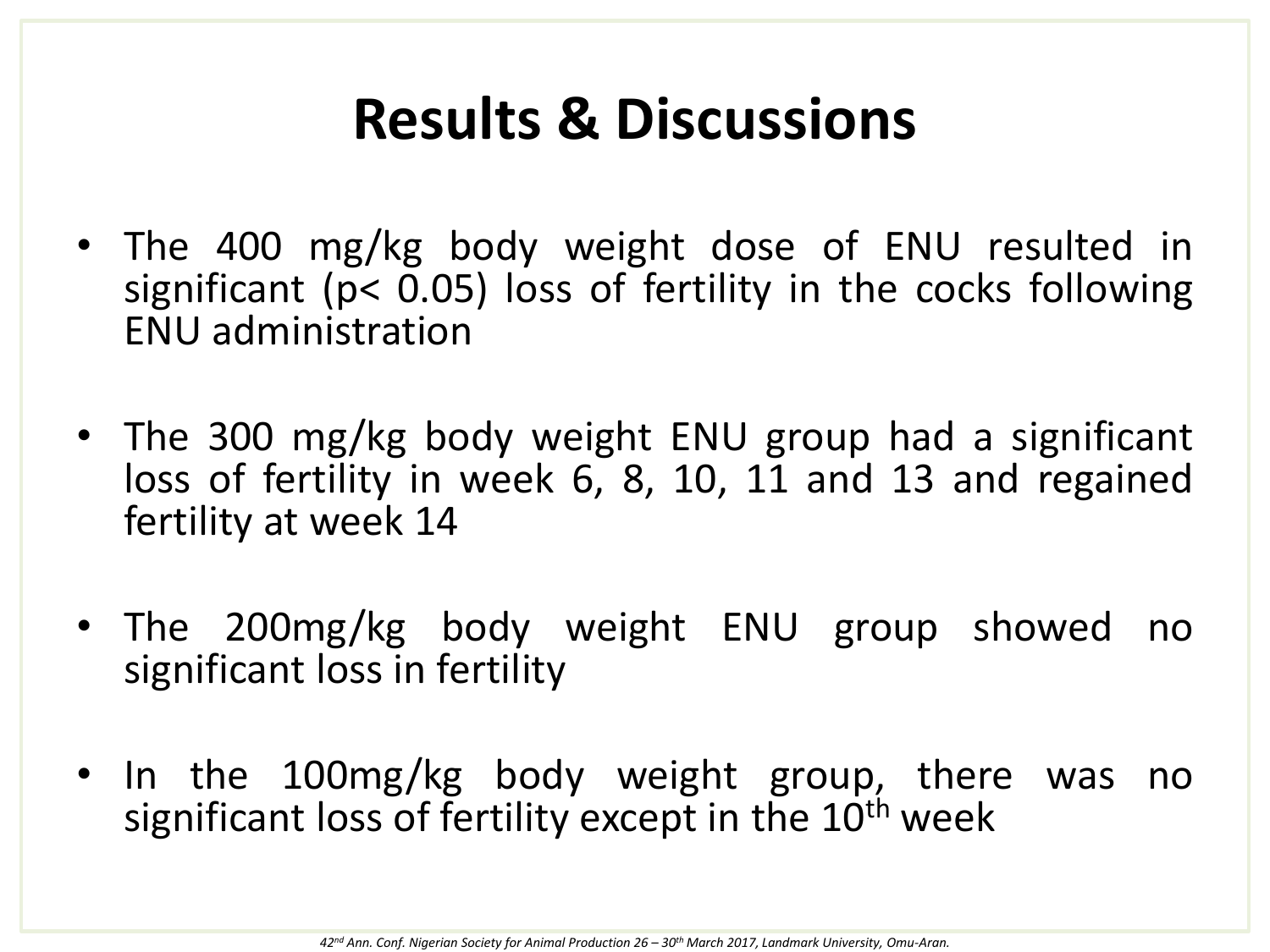## **Results & Discussions**

- The 400 mg/kg body weight dose of ENU resulted in significant (p< 0.05) loss of fertility in the cocks following ENU administration
- The 300 mg/kg body weight ENU group had a significant loss of fertility in week 6, 8, 10, 11 and 13 and regained fertility at week 14
- The 200mg/kg body weight ENU group showed no significant loss in fertility
- In the 100mg/kg body weight group, there was no significant loss of fertility except in the 10<sup>th</sup> week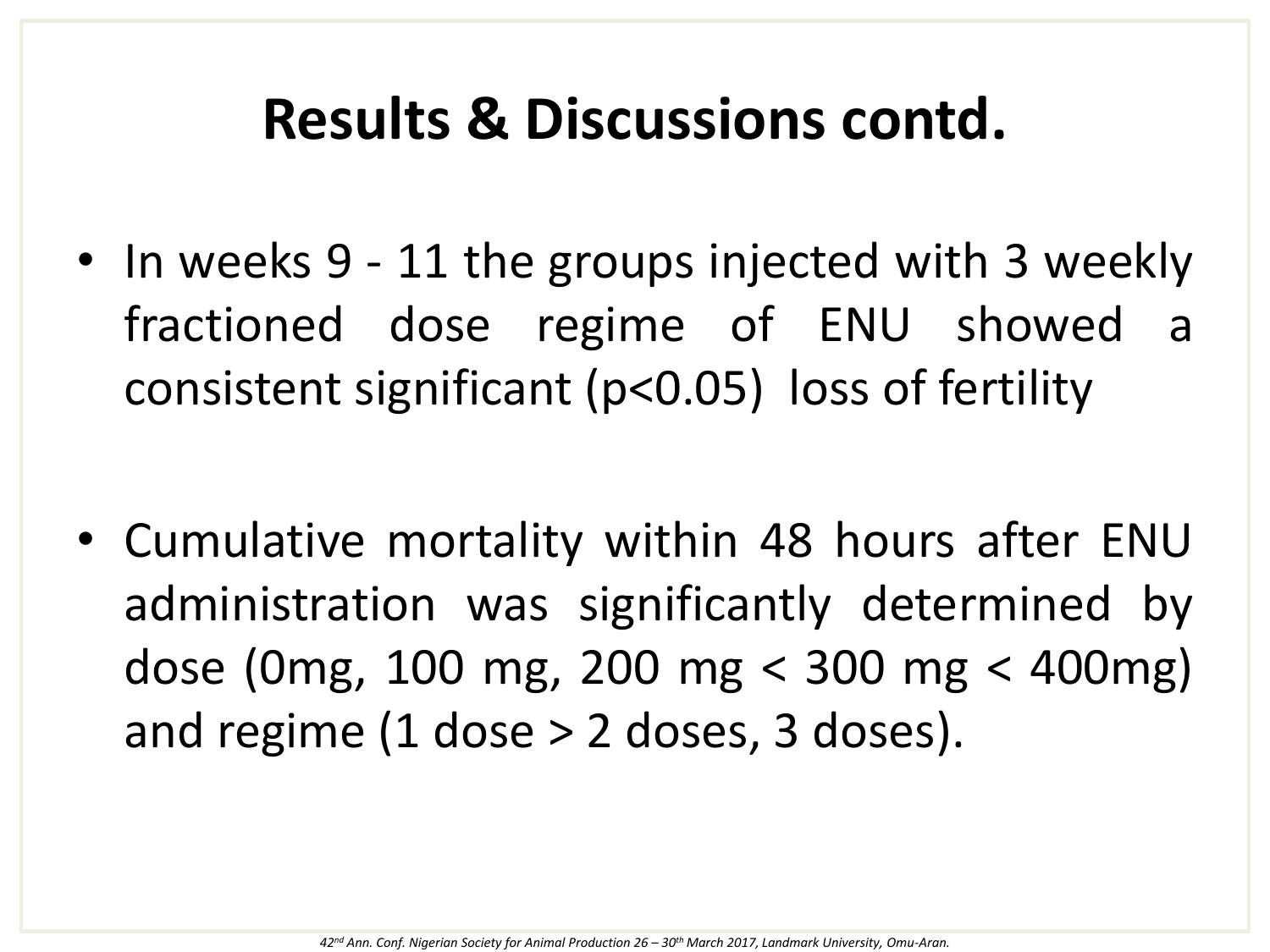## **Results & Discussions contd.**

• In weeks 9 - 11 the groups injected with 3 weekly fractioned dose regime of ENU showed a consistent significant (p<0.05) loss of fertility

• Cumulative mortality within 48 hours after ENU administration was significantly determined by dose (0mg, 100 mg, 200 mg < 300 mg < 400mg) and regime  $(1$  dose  $> 2$  doses, 3 doses).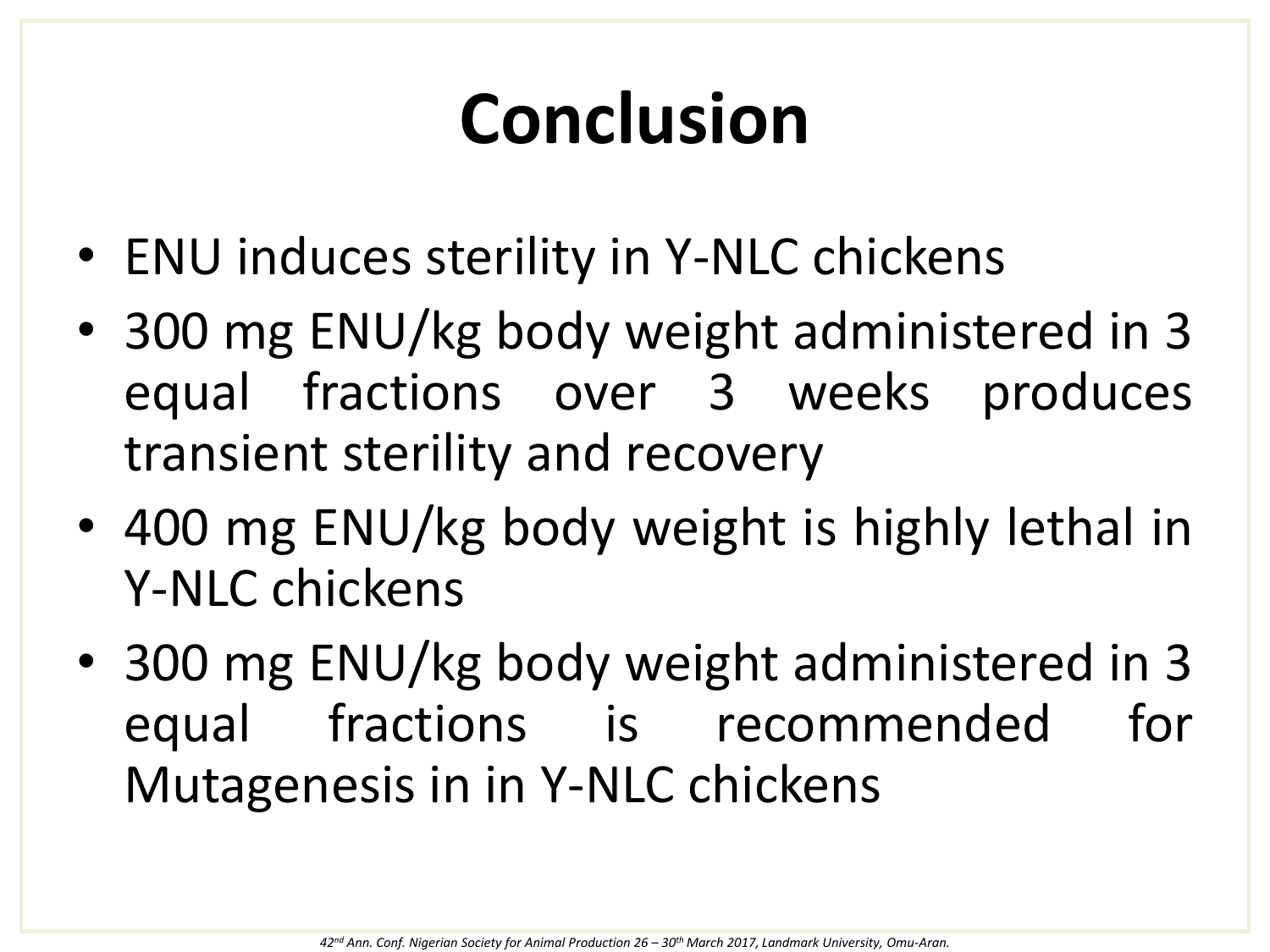# **Conclusion**

- ENU induces sterility in Y-NLC chickens
- 300 mg ENU/kg body weight administered in 3 equal fractions over 3 weeks produces transient sterility and recovery
- 400 mg ENU/kg body weight is highly lethal in Y-NLC chickens
- 300 mg ENU/kg body weight administered in 3 equal fractions is recommended for Mutagenesis in in Y-NLC chickens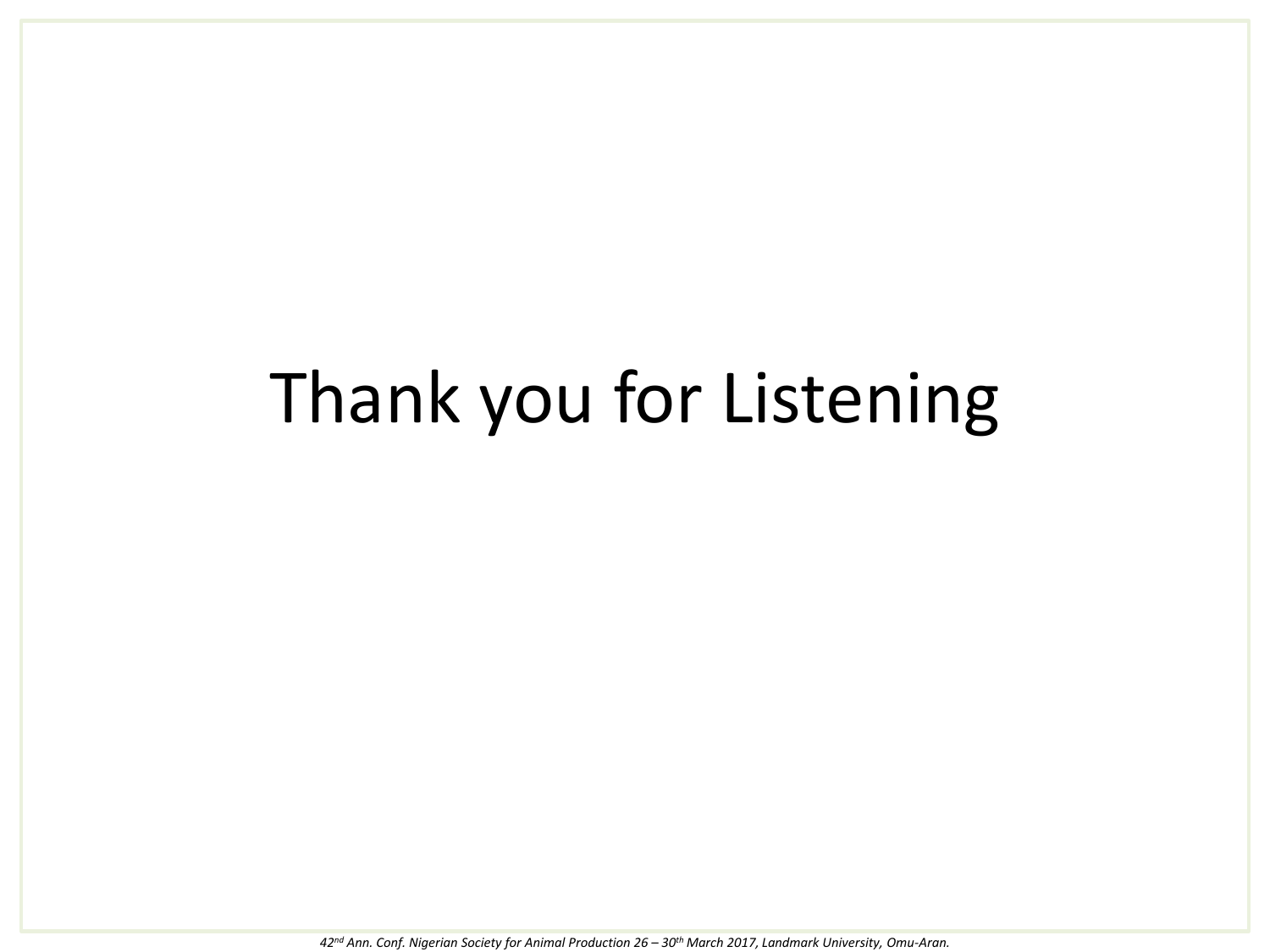# Thank you for Listening

*42nd Ann. Conf. Nigerian Society for Animal Production 26 – 30th March 2017, Landmark University, Omu-Aran.*